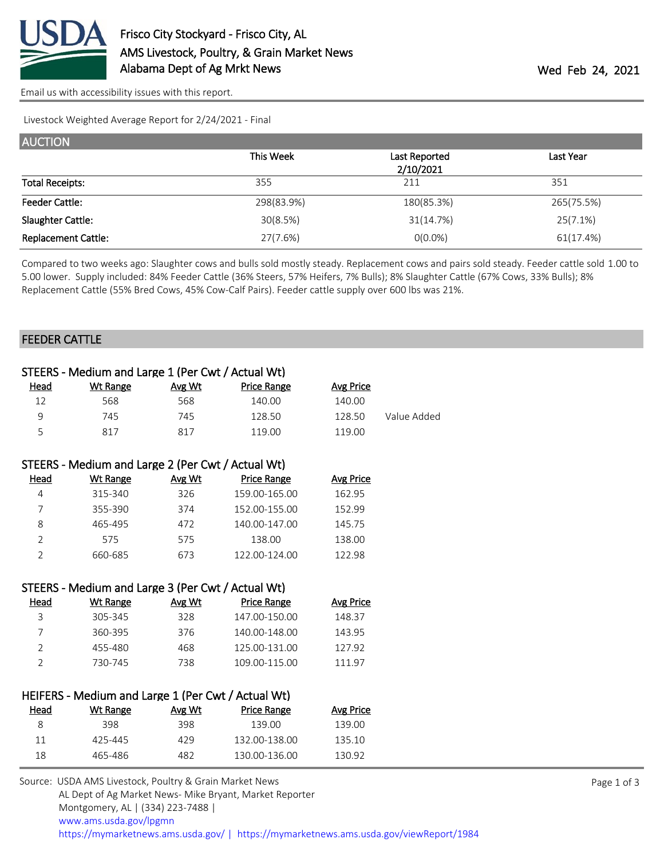

[Email us with accessibility issues with this report.](mailto:mars@ams.usda.gov?subject=508%20issue)

Livestock Weighted Average Report for 2/24/2021 - Final

| <b>AUCTION</b>             |            |               |            |
|----------------------------|------------|---------------|------------|
|                            | This Week  | Last Reported | Last Year  |
|                            |            | 2/10/2021     |            |
| <b>Total Receipts:</b>     | 355        | 211           | 351        |
| <b>Feeder Cattle:</b>      | 298(83.9%) | 180(85.3%)    | 265(75.5%) |
| Slaughter Cattle:          | 30(8.5%)   | 31(14.7%)     | 25(7.1%)   |
| <b>Replacement Cattle:</b> | 27(7.6%)   | $0(0.0\%)$    | 61(17.4%)  |

Compared to two weeks ago: Slaughter cows and bulls sold mostly steady. Replacement cows and pairs sold steady. Feeder cattle sold 1.00 to 5.00 lower. Supply included: 84% Feeder Cattle (36% Steers, 57% Heifers, 7% Bulls); 8% Slaughter Cattle (67% Cows, 33% Bulls); 8% Replacement Cattle (55% Bred Cows, 45% Cow-Calf Pairs). Feeder cattle supply over 600 lbs was 21%.

#### FEEDER CATTLE

|                | STEERS - Medium and Large 1 (Per Cwt / Actual Wt)  |        |                    |                  |             |
|----------------|----------------------------------------------------|--------|--------------------|------------------|-------------|
| Head           | <b>Wt Range</b>                                    | Avg Wt | <b>Price Range</b> | <b>Avg Price</b> |             |
| 12             | 568                                                | 568    | 140.00             | 140.00           |             |
| 9              | 745                                                | 745    | 128.50             | 128.50           | Value Added |
| 5              | 817                                                | 817    | 119.00             | 119.00           |             |
|                | STEERS - Medium and Large 2 (Per Cwt / Actual Wt)  |        |                    |                  |             |
| Head           | <b>Wt Range</b>                                    | Avg Wt | <b>Price Range</b> | <b>Avg Price</b> |             |
| 4              | 315-340                                            | 326    | 159.00-165.00      | 162.95           |             |
| 7              | 355-390                                            | 374    | 152.00-155.00      | 152.99           |             |
| 8              | 465-495                                            | 472    | 140.00-147.00      | 145.75           |             |
| $\overline{2}$ | 575                                                | 575    | 138.00             | 138.00           |             |
| $\overline{2}$ | 660-685                                            | 673    | 122.00-124.00      | 122.98           |             |
|                | STEERS - Medium and Large 3 (Per Cwt / Actual Wt)  |        |                    |                  |             |
| <b>Head</b>    | <b>Wt Range</b>                                    | Avg Wt | <b>Price Range</b> | <b>Avg Price</b> |             |
| 3              | 305-345                                            | 328    | 147.00-150.00      | 148.37           |             |
| $\overline{7}$ | 360-395                                            | 376    | 140.00-148.00      | 143.95           |             |
| $\overline{2}$ | 455-480                                            | 468    | 125.00-131.00      | 127.92           |             |
| $\overline{2}$ | 730-745                                            | 738    | 109.00-115.00      | 111.97           |             |
|                | HEIFERS - Medium and Large 1 (Per Cwt / Actual Wt) |        |                    |                  |             |
| Head           | <b>Wt Range</b>                                    | Avg Wt | <b>Price Range</b> | <b>Avg Price</b> |             |
| 8              | 398                                                | 398    | 139.00             | 139.00           |             |
| 11             | 425-445                                            | 429    | 132.00-138.00      | 135.10           |             |
| 18             | 465-486                                            | 482    | 130.00-136.00      | 130.92           |             |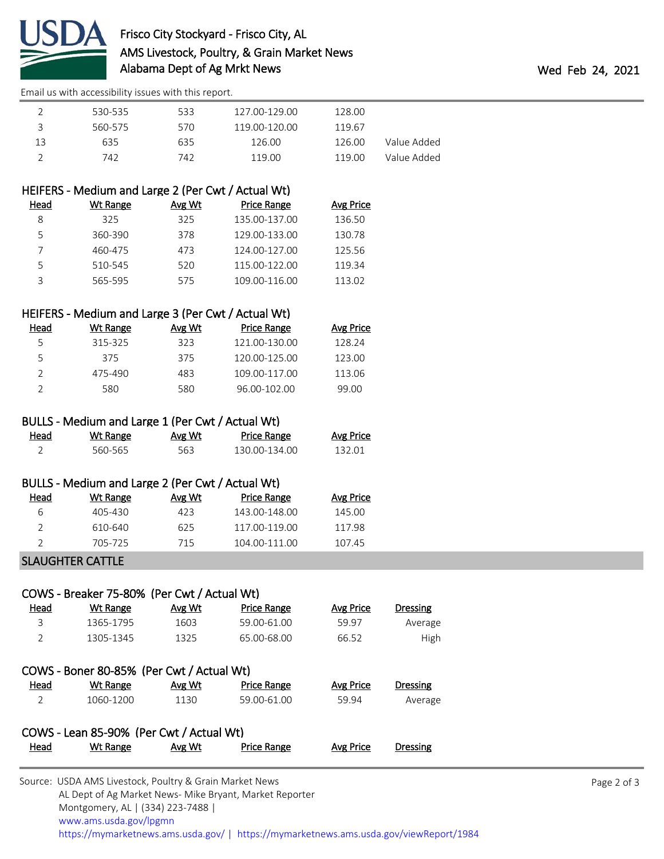

# Frisco City Stockyard - Frisco City, AL AMS Livestock, Poultry, & Grain Market News Alabama Dept of Ag Mrkt News **Wed Feb 24, 2021**

[Email us with accessibility issues with this report.](mailto:mars@ams.usda.gov?subject=508%20issue)

|    | 530-535 | 533 | 127.00-129.00 | 128.00 |             |
|----|---------|-----|---------------|--------|-------------|
| ₹  | 560-575 | 570 | 119.00-120.00 | 119.67 |             |
| 13 | 635     | 635 | 126.00        | 126.00 | Value Added |
|    | 742     | 742 | 119.00        | 119 00 | Value Added |
|    |         |     |               |        |             |

# HEIFERS - Medium and Large 2 (Per Cwt / Actual Wt)

| Head | Wt Range | Avg Wt | Price Range   | Avg Price |
|------|----------|--------|---------------|-----------|
|      | 325      | 325    | 135.00-137.00 | 136.50    |
|      | 360-390  | 378    | 129.00-133.00 | 130.78    |
|      | 460-475  | 473    | 124.00-127.00 | 125.56    |
|      | 510-545  | 520    | 115.00-122.00 | 119.34    |
|      | 565-595  | 575    | 109.00-116.00 | 113.02    |

#### HEIFERS - Medium and Large 3 (Per Cwt / Actual Wt)

| Head | Wt Range | Avg Wt | Price Range   | <b>Avg Price</b> |
|------|----------|--------|---------------|------------------|
| 5    | 315-325  | 323    | 121.00-130.00 | 128.24           |
| 5    | 375      | 375    | 120.00-125.00 | 123.00           |
|      | 475-490  | 483    | 109.00-117.00 | 113.06           |
|      | 580      | 580    | 96.00-102.00  | 99.00            |

## BULLS - Medium and Large 1 (Per Cwt / Actual Wt)

| Head | <u>Wt Range</u> | <u>Avg Wt</u> | <b>Price Range</b> | <b>Avg Price</b> |
|------|-----------------|---------------|--------------------|------------------|
|      | 560-565         | 563           | 130.00-134.00      | 132.01           |

### BULLS - Medium and Large 2 (Per Cwt / Actual Wt)

| Head | Wt Range | Avg Wt | Price Range   | <b>Avg Price</b> |
|------|----------|--------|---------------|------------------|
| ь    | 405-430  | 423.   | 143.00-148.00 | 145.00           |
|      | 610-640  | 625    | 117.00-119.00 | 117.98           |
|      | 705-725  | 715    | 104.00-111.00 | 107.45           |
|      |          |        |               |                  |

#### SLAUGHTER CATTLE

| COWS - Breaker 75-80% (Per Cwt / Actual Wt) |                 |        |                    |           |                 |  |  |
|---------------------------------------------|-----------------|--------|--------------------|-----------|-----------------|--|--|
| <u>Head</u>                                 | Wt Range        | Avg Wt | Price Range        | Avg Price | <b>Dressing</b> |  |  |
| 3                                           | 1365-1795       | 1603   | 59.00-61.00        | 59.97     | Average         |  |  |
| $\mathcal{P}$                               | 1305-1345       | 1325   | 65.00-68.00        | 66.52     | High            |  |  |
| COWS - Boner 80-85% (Per Cwt / Actual Wt)   |                 |        |                    |           |                 |  |  |
| Head                                        | <b>Wt Range</b> | Avg Wt | Price Range        | Avg Price | <b>Dressing</b> |  |  |
| 2                                           | 1060-1200       | 1130   | 59.00-61.00        | 59.94     | Average         |  |  |
| COWS - Lean 85-90% (Per Cwt / Actual Wt)    |                 |        |                    |           |                 |  |  |
| Head                                        | Wt Range        | Avg Wt | <b>Price Range</b> | Avg Price | Dressing        |  |  |